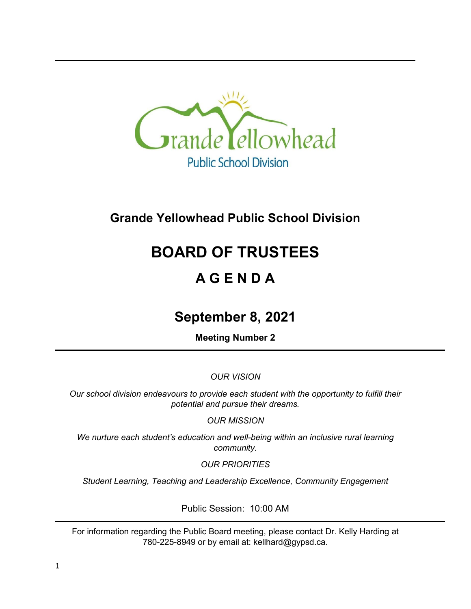

# **Grande Yellowhead Public School Division**

# **BOARD OF TRUSTEES**

# **A G E N D A**

# **September 8, 2021**

**Meeting Number 2**

*OUR VISION*

*Our school division endeavours to provide each student with the opportunity to fulfill their potential and pursue their dreams.*

*OUR MISSION*

*We nurture each student's education and well-being within an inclusive rural learning community.*

*OUR PRIORITIES*

*Student Learning, Teaching and Leadership Excellence, Community Engagement*

Public Session: 10:00 AM

For information regarding the Public Board meeting, please contact Dr. Kelly Harding at 780-225-8949 or by email at: kellhard@gypsd.ca.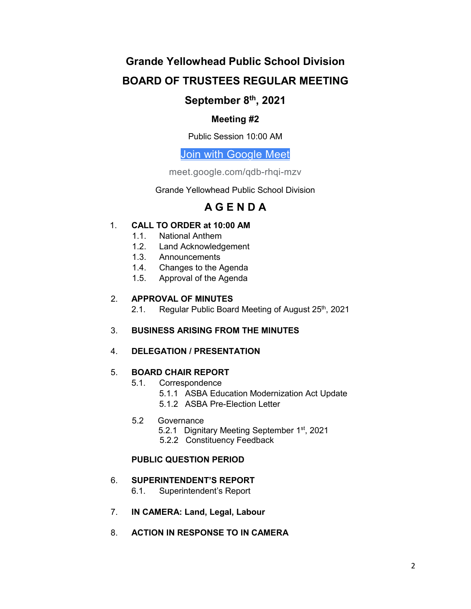# **Grande Yellowhead Public School Division BOARD OF TRUSTEES REGULAR MEETING**

## **September 8th, 2021**

### **Meeting #2**

Public Session 10:00 AM

## [Join with Google Meet](https://meet.google.com/qdb-rhqi-mzv?authuser=0&hs=122)

meet.google.com/qdb-rhqi-mzv

Grande Yellowhead Public School Division

## **A G E N D A**

### 1. **CALL TO ORDER at 10:00 AM**

- 1.1. National Anthem
- 1.2. Land Acknowledgement
- 1.3. Announcements
- 1.4. Changes to the Agenda
- 1.5. Approval of the Agenda

### 2. **APPROVAL OF MINUTES**

2.1. Regular Public Board Meeting of August 25<sup>th</sup>, 2021

### 3. **BUSINESS ARISING FROM THE MINUTES**

### 4. **DELEGATION / PRESENTATION**

### 5. **BOARD CHAIR REPORT**

- 5.1. Correspondence
	- 5.1.1 ASBA Education Modernization Act Update
	- 5.1.2 ASBA Pre-Election Letter

#### 5.2 Governance

- 5.2.1 Dignitary Meeting September 1<sup>st</sup>, 2021
- 5.2.2 Constituency Feedback

### **PUBLIC QUESTION PERIOD**

### 6. **SUPERINTENDENT'S REPORT**

- 6.1. Superintendent's Report
- 7. **IN CAMERA: Land, Legal, Labour**
- 8. **ACTION IN RESPONSE TO IN CAMERA**